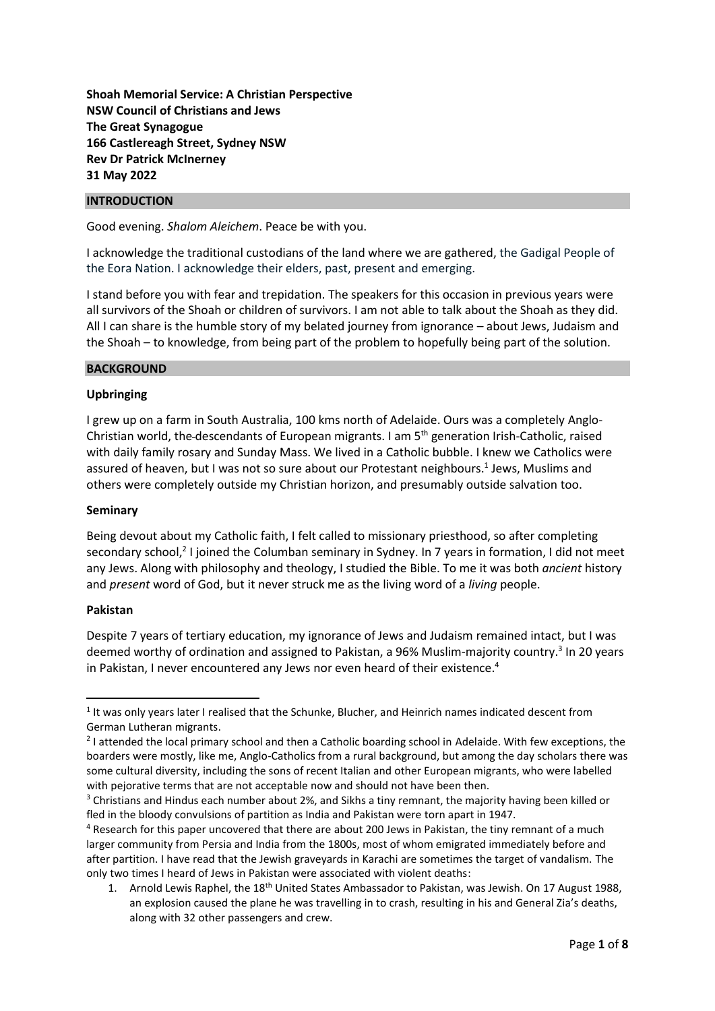**Shoah Memorial Service: A Christian Perspective NSW Council of Christians and Jews The Great Synagogue 166 Castlereagh Street, Sydney NSW Rev Dr Patrick McInerney 31 May 2022**

## **INTRODUCTION**

Good evening. *Shalom Aleichem*. Peace be with you.

I acknowledge the traditional custodians of the land where we are gathered, the Gadigal People of the Eora Nation. I acknowledge their elders, past, present and emerging.

I stand before you with fear and trepidation. The speakers for this occasion in previous years were all survivors of the Shoah or children of survivors. I am not able to talk about the Shoah as they did. All I can share is the humble story of my belated journey from ignorance – about Jews, Judaism and the Shoah – to knowledge, from being part of the problem to hopefully being part of the solution.

#### **BACKGROUND**

## **Upbringing**

I grew up on a farm in South Australia, 100 kms north of Adelaide. Ours was a completely Anglo-Christian world, the descendants of European migrants. I am 5th generation Irish-Catholic, raised with daily family rosary and Sunday Mass. We lived in a Catholic bubble. I knew we Catholics were assured of heaven, but I was not so sure about our Protestant neighbours.<sup>1</sup> Jews, Muslims and others were completely outside my Christian horizon, and presumably outside salvation too.

#### **Seminary**

Being devout about my Catholic faith, I felt called to missionary priesthood, so after completing secondary school,<sup>2</sup> I joined the Columban seminary in Sydney. In 7 years in formation, I did not meet any Jews. Along with philosophy and theology, I studied the Bible. To me it was both *ancient* history and *present* word of God, but it never struck me as the living word of a *living* people.

#### **Pakistan**

Despite 7 years of tertiary education, my ignorance of Jews and Judaism remained intact, but I was deemed worthy of ordination and assigned to Pakistan, a 96% Muslim-majority country.<sup>3</sup> In 20 years in Pakistan, I never encountered any Jews nor even heard of their existence. 4

<sup>&</sup>lt;sup>1</sup> It was only years later I realised that the Schunke, Blucher, and Heinrich names indicated descent from German Lutheran migrants.

<sup>&</sup>lt;sup>2</sup> I attended the local primary school and then a Catholic boarding school in Adelaide. With few exceptions, the boarders were mostly, like me, Anglo-Catholics from a rural background, but among the day scholars there was some cultural diversity, including the sons of recent Italian and other European migrants, who were labelled with pejorative terms that are not acceptable now and should not have been then.

<sup>&</sup>lt;sup>3</sup> Christians and Hindus each number about 2%, and Sikhs a tiny remnant, the majority having been killed or fled in the bloody convulsions of partition as India and Pakistan were torn apart in 1947.

<sup>4</sup> Research for this paper uncovered that there are about 200 Jews in Pakistan, the tiny remnant of a much larger community from Persia and India from the 1800s, most of whom emigrated immediately before and after partition. I have read that the Jewish graveyards in Karachi are sometimes the target of vandalism. The only two times I heard of Jews in Pakistan were associated with violent deaths:

<sup>1.</sup> Arnold Lewis Raphel, the 18<sup>th</sup> United States Ambassador to Pakistan, was Jewish. On 17 August 1988, an explosion caused the plane he was travelling in to crash, resulting in his and General Zia's deaths, along with 32 other passengers and crew.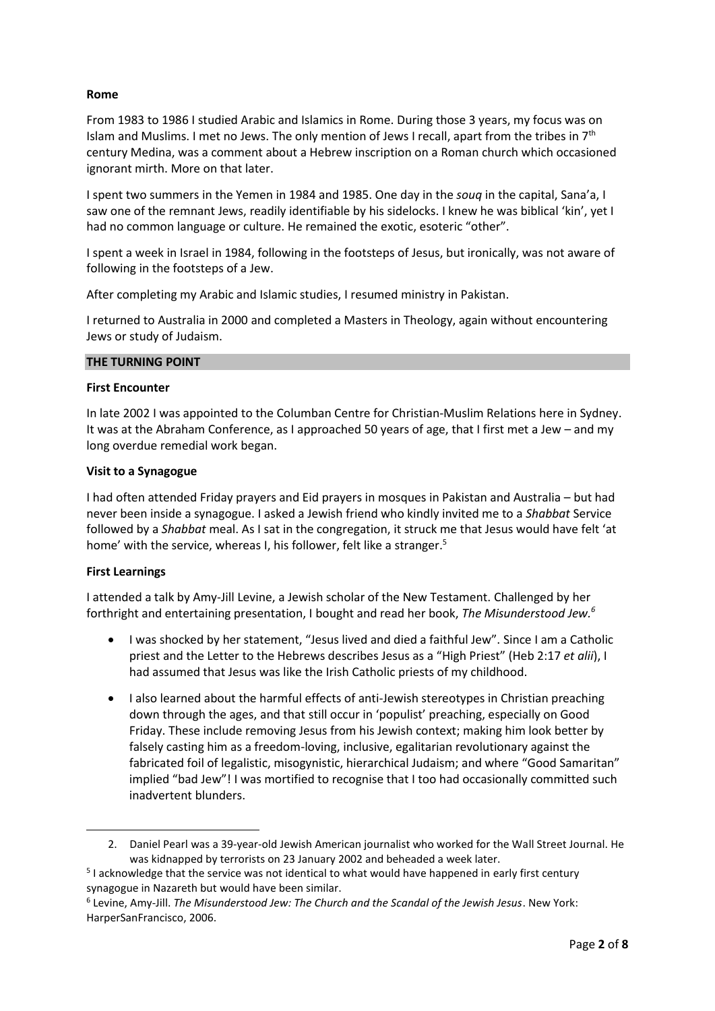## **Rome**

From 1983 to 1986 I studied Arabic and Islamics in Rome. During those 3 years, my focus was on Islam and Muslims. I met no Jews. The only mention of Jews I recall, apart from the tribes in  $7<sup>th</sup>$ century Medina, was a comment about a Hebrew inscription on a Roman church which occasioned ignorant mirth. More on that later.

I spent two summers in the Yemen in 1984 and 1985. One day in the *souq* in the capital, Sana'a, I saw one of the remnant Jews, readily identifiable by his sidelocks. I knew he was biblical 'kin', yet I had no common language or culture. He remained the exotic, esoteric "other".

I spent a week in Israel in 1984, following in the footsteps of Jesus, but ironically, was not aware of following in the footsteps of a Jew.

After completing my Arabic and Islamic studies, I resumed ministry in Pakistan.

I returned to Australia in 2000 and completed a Masters in Theology, again without encountering Jews or study of Judaism.

## **THE TURNING POINT**

## **First Encounter**

In late 2002 I was appointed to the Columban Centre for Christian-Muslim Relations here in Sydney. It was at the Abraham Conference, as I approached 50 years of age, that I first met a Jew – and my long overdue remedial work began.

## **Visit to a Synagogue**

I had often attended Friday prayers and Eid prayers in mosques in Pakistan and Australia – but had never been inside a synagogue. I asked a Jewish friend who kindly invited me to a *Shabbat* Service followed by a *Shabbat* meal. As I sat in the congregation, it struck me that Jesus would have felt 'at home' with the service, whereas I, his follower, felt like a stranger.<sup>5</sup>

## **First Learnings**

I attended a talk by Amy-Jill Levine, a Jewish scholar of the New Testament. Challenged by her forthright and entertaining presentation, I bought and read her book, *The Misunderstood Jew.<sup>6</sup>*

- I was shocked by her statement, "Jesus lived and died a faithful Jew". Since I am a Catholic priest and the Letter to the Hebrews describes Jesus as a "High Priest" (Heb 2:17 *et alii*), I had assumed that Jesus was like the Irish Catholic priests of my childhood.
- I also learned about the harmful effects of anti-Jewish stereotypes in Christian preaching down through the ages, and that still occur in 'populist' preaching, especially on Good Friday. These include removing Jesus from his Jewish context; making him look better by falsely casting him as a freedom-loving, inclusive, egalitarian revolutionary against the fabricated foil of legalistic, misogynistic, hierarchical Judaism; and where "Good Samaritan" implied "bad Jew"! I was mortified to recognise that I too had occasionally committed such inadvertent blunders.

<sup>2.</sup> Daniel Pearl was a 39-year-old Jewish American journalist who worked for the Wall Street Journal. He was kidnapped by terrorists on 23 January 2002 and beheaded a week later.

<sup>&</sup>lt;sup>5</sup> I acknowledge that the service was not identical to what would have happened in early first century synagogue in Nazareth but would have been similar.

<sup>6</sup> Levine, Amy-Jill. *The Misunderstood Jew: The Church and the Scandal of the Jewish Jesus*. New York: HarperSanFrancisco, 2006.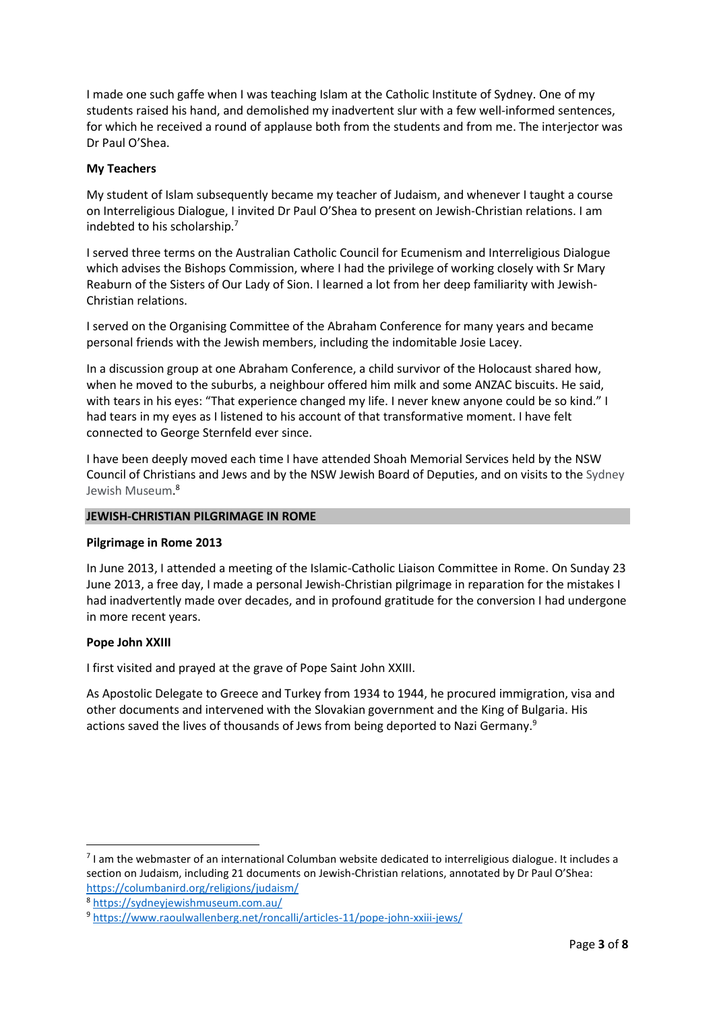I made one such gaffe when I was teaching Islam at the Catholic Institute of Sydney. One of my students raised his hand, and demolished my inadvertent slur with a few well-informed sentences, for which he received a round of applause both from the students and from me. The interjector was Dr Paul O'Shea.

## **My Teachers**

My student of Islam subsequently became my teacher of Judaism, and whenever I taught a course on Interreligious Dialogue, I invited Dr Paul O'Shea to present on Jewish-Christian relations. I am indebted to his scholarship.<sup>7</sup>

I served three terms on the Australian Catholic Council for Ecumenism and Interreligious Dialogue which advises the Bishops Commission, where I had the privilege of working closely with Sr Mary Reaburn of the Sisters of Our Lady of Sion. I learned a lot from her deep familiarity with Jewish-Christian relations.

I served on the Organising Committee of the Abraham Conference for many years and became personal friends with the Jewish members, including the indomitable Josie Lacey.

In a discussion group at one Abraham Conference, a child survivor of the Holocaust shared how, when he moved to the suburbs, a neighbour offered him milk and some ANZAC biscuits. He said, with tears in his eyes: "That experience changed my life. I never knew anyone could be so kind." I had tears in my eyes as I listened to his account of that transformative moment. I have felt connected to George Sternfeld ever since.

I have been deeply moved each time I have attended Shoah Memorial Services held by the NSW Council of Christians and Jews and by the NSW Jewish Board of Deputies, and on visits to the Sydney Jewish Museum. 8

#### **JEWISH-CHRISTIAN PILGRIMAGE IN ROME**

#### **Pilgrimage in Rome 2013**

In June 2013, I attended a meeting of the Islamic-Catholic Liaison Committee in Rome. On Sunday 23 June 2013, a free day, I made a personal Jewish-Christian pilgrimage in reparation for the mistakes I had inadvertently made over decades, and in profound gratitude for the conversion I had undergone in more recent years.

#### **Pope John XXIII**

I first visited and prayed at the grave of Pope Saint John XXIII.

As Apostolic Delegate to Greece and Turkey from 1934 to 1944, he procured immigration, visa and other documents and intervened with the Slovakian government and the King of Bulgaria. His actions saved the lives of thousands of Jews from being deported to Nazi Germany.<sup>9</sup>

<sup>&</sup>lt;sup>7</sup> I am the webmaster of an international Columban website dedicated to interreligious dialogue. It includes a section on Judaism, including 21 documents on Jewish-Christian relations, annotated by Dr Paul O'Shea: <https://columbanird.org/religions/judaism/>

<sup>8</sup> <https://sydneyjewishmuseum.com.au/>

<sup>9</sup> <https://www.raoulwallenberg.net/roncalli/articles-11/pope-john-xxiii-jews/>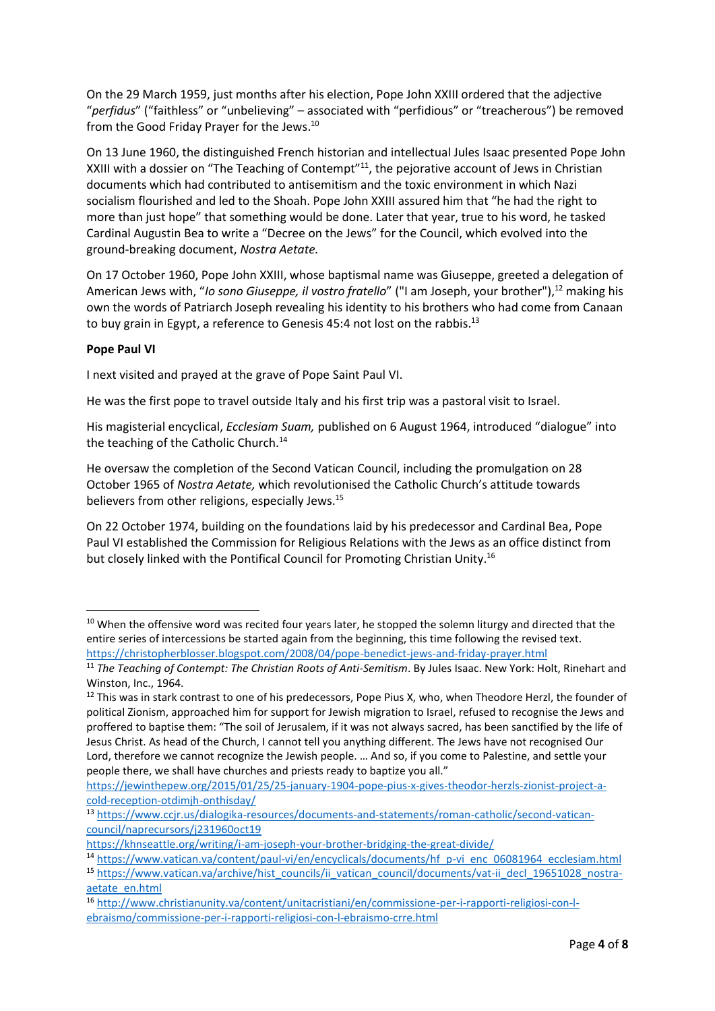On the 29 March 1959, just months after his election, Pope John XXIII ordered that the adjective "*perfidus*" ("faithless" or "unbelieving" – associated with "perfidious" or "treacherous") be removed from the Good Friday Prayer for the Jews.<sup>10</sup>

On 13 June 1960, the distinguished French historian and intellectual Jules Isaac presented Pope John XXIII with a dossier on "The Teaching of Contempt"<sup>11</sup>, the pejorative account of Jews in Christian documents which had contributed to antisemitism and the toxic environment in which Nazi socialism flourished and led to the Shoah. Pope John XXIII assured him that "he had the right to more than just hope" that something would be done. Later that year, true to his word, he tasked Cardinal Augustin Bea to write a "Decree on the Jews" for the Council, which evolved into the ground-breaking document, *Nostra Aetate.*

On 17 October 1960, Pope John XXIII, whose baptismal name was Giuseppe, greeted a delegation of American Jews with, "*Io sono Giuseppe, il vostro fratello*" ("I am Joseph, your brother"), <sup>12</sup> making his own the words of Patriarch Joseph revealing his identity to his brothers who had come from Canaan to buy grain in Egypt, a reference to Genesis 45:4 not lost on the rabbis.<sup>13</sup>

# **Pope Paul VI**

I next visited and prayed at the grave of Pope Saint Paul VI.

He was the first pope to travel outside Italy and his first trip was a pastoral visit to Israel.

His magisterial encyclical, *Ecclesiam Suam,* published on 6 August 1964, introduced "dialogue" into the teaching of the Catholic Church.<sup>14</sup>

He oversaw the completion of the Second Vatican Council, including the promulgation on 28 October 1965 of *Nostra Aetate,* which revolutionised the Catholic Church's attitude towards believers from other religions, especially Jews.<sup>15</sup>

On 22 October 1974, building on the foundations laid by his predecessor and Cardinal Bea, Pope Paul VI established the Commission for Religious Relations with the Jews as an office distinct from but closely linked with the Pontifical Council for Promoting Christian Unity.<sup>16</sup>

<sup>&</sup>lt;sup>10</sup> When the offensive word was recited four years later, he stopped the solemn liturgy and directed that the entire series of intercessions be started again from the beginning, this time following the revised text. <https://christopherblosser.blogspot.com/2008/04/pope-benedict-jews-and-friday-prayer.html>

<sup>&</sup>lt;sup>11</sup> The Teaching of Contempt: The Christian Roots of Anti-Semitism. By Jules Isaac. New York: Holt, Rinehart and Winston, Inc., 1964.

 $12$  This was in stark contrast to one of his predecessors, Pope Pius X, who, when Theodore Herzl, the founder of political Zionism, approached him for support for Jewish migration to Israel, refused to recognise the Jews and proffered to baptise them: "The soil of Jerusalem, if it was not always sacred, has been sanctified by the life of Jesus Christ. As head of the Church, I cannot tell you anything different. The Jews have not recognised Our Lord, therefore we cannot recognize the Jewish people. … And so, if you come to Palestine, and settle your people there, we shall have churches and priests ready to baptize you all."

[https://jewinthepew.org/2015/01/25/25-january-1904-pope-pius-x-gives-theodor-herzls-zionist-project-a](https://jewinthepew.org/2015/01/25/25-january-1904-pope-pius-x-gives-theodor-herzls-zionist-project-a-cold-reception-otdimjh-onthisday/)[cold-reception-otdimjh-onthisday/](https://jewinthepew.org/2015/01/25/25-january-1904-pope-pius-x-gives-theodor-herzls-zionist-project-a-cold-reception-otdimjh-onthisday/)

<sup>13</sup> [https://www.ccjr.us/dialogika-resources/documents-and-statements/roman-catholic/second-vatican](https://www.ccjr.us/dialogika-resources/documents-and-statements/roman-catholic/second-vatican-council/naprecursors/j231960oct19)[council/naprecursors/j231960oct19](https://www.ccjr.us/dialogika-resources/documents-and-statements/roman-catholic/second-vatican-council/naprecursors/j231960oct19)

<https://khnseattle.org/writing/i-am-joseph-your-brother-bridging-the-great-divide/>

<sup>14</sup> [https://www.vatican.va/content/paul-vi/en/encyclicals/documents/hf\\_p-vi\\_enc\\_06081964\\_ecclesiam.html](https://www.vatican.va/content/paul-vi/en/encyclicals/documents/hf_p-vi_enc_06081964_ecclesiam.html) 15 [https://www.vatican.va/archive/hist\\_councils/ii\\_vatican\\_council/documents/vat-ii\\_decl\\_19651028\\_nostra](https://www.vatican.va/archive/hist_councils/ii_vatican_council/documents/vat-ii_decl_19651028_nostra-aetate_en.html)[aetate\\_en.html](https://www.vatican.va/archive/hist_councils/ii_vatican_council/documents/vat-ii_decl_19651028_nostra-aetate_en.html)

<sup>16</sup> [http://www.christianunity.va/content/unitacristiani/en/commissione-per-i-rapporti-religiosi-con-l](http://www.christianunity.va/content/unitacristiani/en/commissione-per-i-rapporti-religiosi-con-l-ebraismo/commissione-per-i-rapporti-religiosi-con-l-ebraismo-crre.html)[ebraismo/commissione-per-i-rapporti-religiosi-con-l-ebraismo-crre.html](http://www.christianunity.va/content/unitacristiani/en/commissione-per-i-rapporti-religiosi-con-l-ebraismo/commissione-per-i-rapporti-religiosi-con-l-ebraismo-crre.html)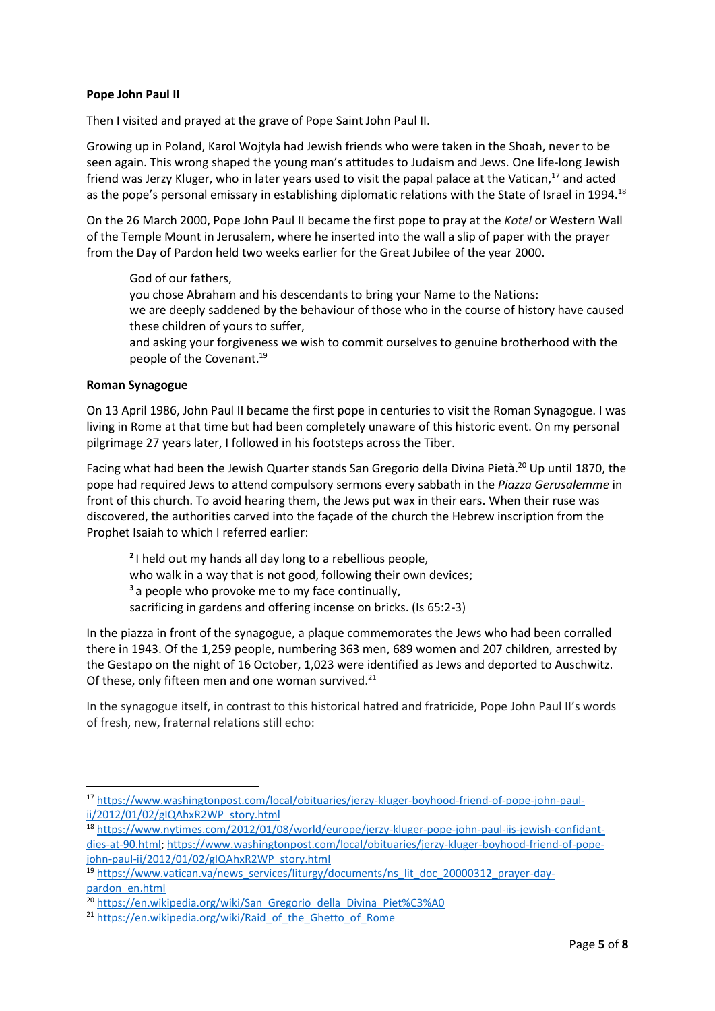## **Pope John Paul II**

Then I visited and prayed at the grave of Pope Saint John Paul II.

Growing up in Poland, Karol Wojtyla had Jewish friends who were taken in the Shoah, never to be seen again. This wrong shaped the young man's attitudes to Judaism and Jews. One life-long Jewish friend was Jerzy Kluger, who in later years used to visit the papal palace at the Vatican,<sup>17</sup> and acted as the pope's personal emissary in establishing diplomatic relations with the State of Israel in 1994.<sup>18</sup>

On the 26 March 2000, Pope John Paul II became the first pope to pray at the *Kotel* or Western Wall of the Temple Mount in Jerusalem, where he inserted into the wall a slip of paper with the prayer from the Day of Pardon held two weeks earlier for the Great Jubilee of the year 2000.

## God of our fathers,

you chose Abraham and his descendants to bring your Name to the Nations:

we are deeply saddened by the behaviour of those who in the course of history have caused these children of yours to suffer,

and asking your forgiveness we wish to commit ourselves to genuine brotherhood with the people of the Covenant. 19

## **Roman Synagogue**

On 13 April 1986, John Paul II became the first pope in centuries to visit the Roman Synagogue. I was living in Rome at that time but had been completely unaware of this historic event. On my personal pilgrimage 27 years later, I followed in his footsteps across the Tiber.

Facing what had been the Jewish Quarter stands San Gregorio della Divina Pietà.<sup>20</sup> Up until 1870, the pope had required Jews to attend compulsory sermons every sabbath in the *Piazza Gerusalemme* in front of this church. To avoid hearing them, the Jews put wax in their ears. When their ruse was discovered, the authorities carved into the façade of the church the Hebrew inscription from the Prophet Isaiah to which I referred earlier:

**2** I held out my hands all day long to a rebellious people, who walk in a way that is not good, following their own devices; **<sup>3</sup>** a people who provoke me to my face continually,

sacrificing in gardens and offering incense on bricks. (Is 65:2-3)

In the piazza in front of the synagogue, a plaque commemorates the Jews who had been corralled there in 1943. Of the 1,259 people, numbering 363 men, 689 women and 207 children, arrested by the Gestapo on the night of 16 October, 1,023 were identified as Jews and deported to Auschwitz. Of these, only fifteen men and one woman survived. $^{21}$ 

In the synagogue itself, in contrast to this historical hatred and fratricide, Pope John Paul II's words of fresh, new, fraternal relations still echo:

<sup>17</sup> [https://www.washingtonpost.com/local/obituaries/jerzy-kluger-boyhood-friend-of-pope-john-paul](https://www.washingtonpost.com/local/obituaries/jerzy-kluger-boyhood-friend-of-pope-john-paul-ii/2012/01/02/gIQAhxR2WP_story.html)[ii/2012/01/02/gIQAhxR2WP\\_story.html](https://www.washingtonpost.com/local/obituaries/jerzy-kluger-boyhood-friend-of-pope-john-paul-ii/2012/01/02/gIQAhxR2WP_story.html)

<sup>18</sup> [https://www.nytimes.com/2012/01/08/world/europe/jerzy-kluger-pope-john-paul-iis-jewish-confidant](https://www.nytimes.com/2012/01/08/world/europe/jerzy-kluger-pope-john-paul-iis-jewish-confidant-dies-at-90.html)[dies-at-90.html;](https://www.nytimes.com/2012/01/08/world/europe/jerzy-kluger-pope-john-paul-iis-jewish-confidant-dies-at-90.html) [https://www.washingtonpost.com/local/obituaries/jerzy-kluger-boyhood-friend-of-pope](https://www.washingtonpost.com/local/obituaries/jerzy-kluger-boyhood-friend-of-pope-john-paul-ii/2012/01/02/gIQAhxR2WP_story.html)[john-paul-ii/2012/01/02/gIQAhxR2WP\\_story.html](https://www.washingtonpost.com/local/obituaries/jerzy-kluger-boyhood-friend-of-pope-john-paul-ii/2012/01/02/gIQAhxR2WP_story.html)

<sup>&</sup>lt;sup>19</sup> [https://www.vatican.va/news\\_services/liturgy/documents/ns\\_lit\\_doc\\_20000312\\_prayer-day](https://www.vatican.va/news_services/liturgy/documents/ns_lit_doc_20000312_prayer-day-pardon_en.html)[pardon\\_en.html](https://www.vatican.va/news_services/liturgy/documents/ns_lit_doc_20000312_prayer-day-pardon_en.html)

<sup>&</sup>lt;sup>20</sup> [https://en.wikipedia.org/wiki/San\\_Gregorio\\_della\\_Divina\\_Piet%C3%A0](https://en.wikipedia.org/wiki/San_Gregorio_della_Divina_Piet%C3%A0)

<sup>&</sup>lt;sup>21</sup> [https://en.wikipedia.org/wiki/Raid\\_of\\_the\\_Ghetto\\_of\\_Rome](https://en.wikipedia.org/wiki/Raid_of_the_Ghetto_of_Rome)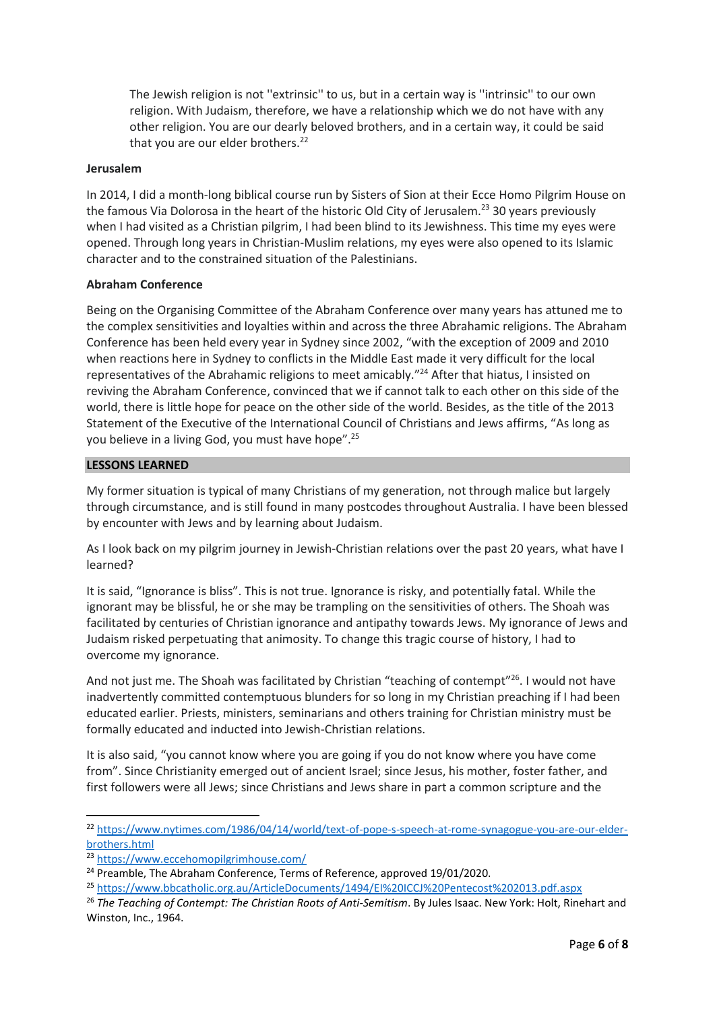The Jewish religion is not ''extrinsic'' to us, but in a certain way is ''intrinsic'' to our own religion. With Judaism, therefore, we have a relationship which we do not have with any other religion. You are our dearly beloved brothers, and in a certain way, it could be said that you are our elder brothers.<sup>22</sup>

## **Jerusalem**

In 2014, I did a month-long biblical course run by Sisters of Sion at their Ecce Homo Pilgrim House on the famous Via Dolorosa in the heart of the historic Old City of Jerusalem.<sup>23</sup> 30 years previously when I had visited as a Christian pilgrim, I had been blind to its Jewishness. This time my eyes were opened. Through long years in Christian-Muslim relations, my eyes were also opened to its Islamic character and to the constrained situation of the Palestinians.

## **Abraham Conference**

Being on the Organising Committee of the Abraham Conference over many years has attuned me to the complex sensitivities and loyalties within and across the three Abrahamic religions. The Abraham Conference has been held every year in Sydney since 2002, "with the exception of 2009 and 2010 when reactions here in Sydney to conflicts in the Middle East made it very difficult for the local representatives of the Abrahamic religions to meet amicably." <sup>24</sup> After that hiatus, I insisted on reviving the Abraham Conference, convinced that we if cannot talk to each other on this side of the world, there is little hope for peace on the other side of the world. Besides, as the title of the 2013 Statement of the Executive of the International Council of Christians and Jews affirms, "As long as you believe in a living God, you must have hope".<sup>25</sup>

## **LESSONS LEARNED**

My former situation is typical of many Christians of my generation, not through malice but largely through circumstance, and is still found in many postcodes throughout Australia. I have been blessed by encounter with Jews and by learning about Judaism.

As I look back on my pilgrim journey in Jewish-Christian relations over the past 20 years, what have I learned?

It is said, "Ignorance is bliss". This is not true. Ignorance is risky, and potentially fatal. While the ignorant may be blissful, he or she may be trampling on the sensitivities of others. The Shoah was facilitated by centuries of Christian ignorance and antipathy towards Jews. My ignorance of Jews and Judaism risked perpetuating that animosity. To change this tragic course of history, I had to overcome my ignorance.

And not just me. The Shoah was facilitated by Christian "teaching of contempt"<sup>26</sup>. I would not have inadvertently committed contemptuous blunders for so long in my Christian preaching if I had been educated earlier. Priests, ministers, seminarians and others training for Christian ministry must be formally educated and inducted into Jewish-Christian relations.

It is also said, "you cannot know where you are going if you do not know where you have come from". Since Christianity emerged out of ancient Israel; since Jesus, his mother, foster father, and first followers were all Jews; since Christians and Jews share in part a common scripture and the

<sup>22</sup> [https://www.nytimes.com/1986/04/14/world/text-of-pope-s-speech-at-rome-synagogue-you-are-our-elder](https://www.nytimes.com/1986/04/14/world/text-of-pope-s-speech-at-rome-synagogue-you-are-our-elder-brothers.html)[brothers.html](https://www.nytimes.com/1986/04/14/world/text-of-pope-s-speech-at-rome-synagogue-you-are-our-elder-brothers.html)

<sup>23</sup> <https://www.eccehomopilgrimhouse.com/>

<sup>&</sup>lt;sup>24</sup> Preamble, The Abraham Conference, Terms of Reference, approved 19/01/2020.

<sup>25</sup> <https://www.bbcatholic.org.au/ArticleDocuments/1494/EI%20ICCJ%20Pentecost%202013.pdf.aspx>

<sup>26</sup> *The Teaching of Contempt: The Christian Roots of Anti-Semitism*. By Jules Isaac. New York: Holt, Rinehart and Winston, Inc., 1964.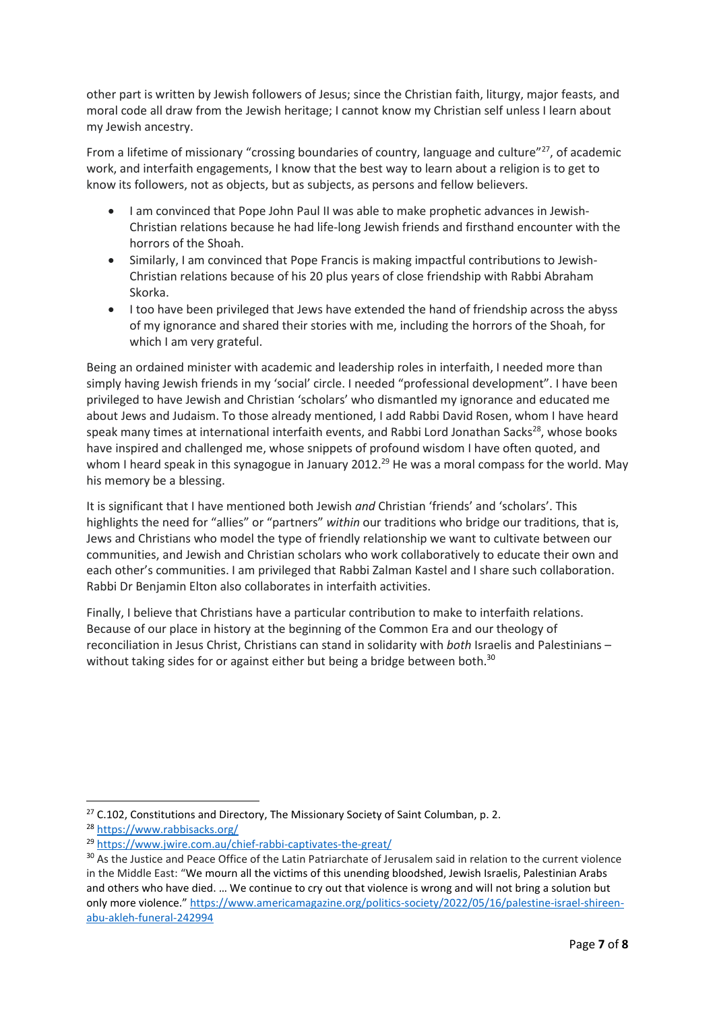other part is written by Jewish followers of Jesus; since the Christian faith, liturgy, major feasts, and moral code all draw from the Jewish heritage; I cannot know my Christian self unless I learn about my Jewish ancestry.

From a lifetime of missionary "crossing boundaries of country, language and culture"<sup>27</sup>, of academic work, and interfaith engagements, I know that the best way to learn about a religion is to get to know its followers, not as objects, but as subjects, as persons and fellow believers.

- I am convinced that Pope John Paul II was able to make prophetic advances in Jewish-Christian relations because he had life-long Jewish friends and firsthand encounter with the horrors of the Shoah.
- Similarly, I am convinced that Pope Francis is making impactful contributions to Jewish-Christian relations because of his 20 plus years of close friendship with Rabbi Abraham Skorka.
- I too have been privileged that Jews have extended the hand of friendship across the abyss of my ignorance and shared their stories with me, including the horrors of the Shoah, for which I am very grateful.

Being an ordained minister with academic and leadership roles in interfaith, I needed more than simply having Jewish friends in my 'social' circle. I needed "professional development". I have been privileged to have Jewish and Christian 'scholars' who dismantled my ignorance and educated me about Jews and Judaism. To those already mentioned, I add Rabbi David Rosen, whom I have heard speak many times at international interfaith events, and Rabbi Lord Jonathan Sacks<sup>28</sup>, whose books have inspired and challenged me, whose snippets of profound wisdom I have often quoted, and whom I heard speak in this synagogue in January 2012.<sup>29</sup> He was a moral compass for the world. May his memory be a blessing.

It is significant that I have mentioned both Jewish *and* Christian 'friends' and 'scholars'. This highlights the need for "allies" or "partners" *within* our traditions who bridge our traditions, that is, Jews and Christians who model the type of friendly relationship we want to cultivate between our communities, and Jewish and Christian scholars who work collaboratively to educate their own and each other's communities. I am privileged that Rabbi Zalman Kastel and I share such collaboration. Rabbi Dr Benjamin Elton also collaborates in interfaith activities.

Finally, I believe that Christians have a particular contribution to make to interfaith relations. Because of our place in history at the beginning of the Common Era and our theology of reconciliation in Jesus Christ, Christians can stand in solidarity with *both* Israelis and Palestinians – without taking sides for or against either but being a bridge between both.<sup>30</sup>

 $27$  C.102, Constitutions and Directory, The Missionary Society of Saint Columban, p. 2.

<sup>28</sup> <https://www.rabbisacks.org/>

<sup>29</sup> <https://www.jwire.com.au/chief-rabbi-captivates-the-great/>

<sup>&</sup>lt;sup>30</sup> As the Justice and Peace Office of the Latin Patriarchate of Jerusalem said in relation to the current violence in the Middle East: "We mourn all the victims of this unending bloodshed, Jewish Israelis, Palestinian Arabs and others who have died. … We continue to cry out that violence is wrong and will not bring a solution but only more violence." [https://www.americamagazine.org/politics-society/2022/05/16/palestine-israel-shireen](https://www.americamagazine.org/politics-society/2022/05/16/palestine-israel-shireen-abu-akleh-funeral-242994)[abu-akleh-funeral-242994](https://www.americamagazine.org/politics-society/2022/05/16/palestine-israel-shireen-abu-akleh-funeral-242994)